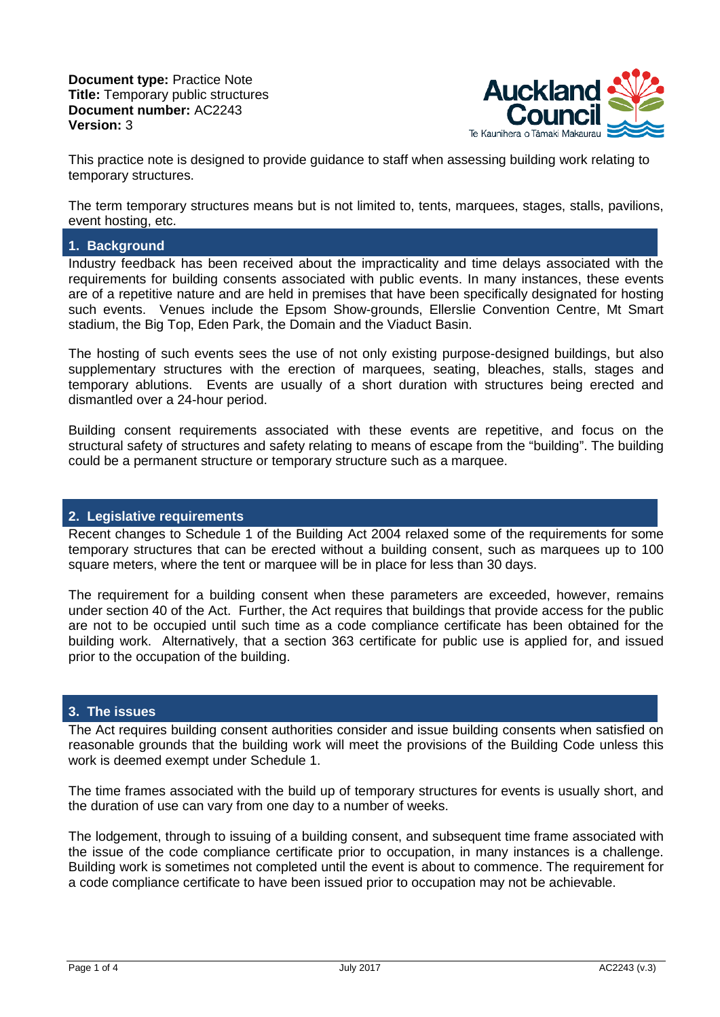**Document type:** Practice Note **Title:** Temporary public structures **Document number:** AC2243 **Version:** 3



This practice note is designed to provide guidance to staff when assessing building work relating to temporary structures.

The term temporary structures means but is not limited to, tents, marquees, stages, stalls, pavilions, event hosting, etc.

# **1. Background**

Industry feedback has been received about the impracticality and time delays associated with the requirements for building consents associated with public events. In many instances, these events are of a repetitive nature and are held in premises that have been specifically designated for hosting such events. Venues include the Epsom Show-grounds, Ellerslie Convention Centre, Mt Smart stadium, the Big Top, Eden Park, the Domain and the Viaduct Basin.

The hosting of such events sees the use of not only existing purpose-designed buildings, but also supplementary structures with the erection of marquees, seating, bleaches, stalls, stages and temporary ablutions. Events are usually of a short duration with structures being erected and dismantled over a 24-hour period.

Building consent requirements associated with these events are repetitive, and focus on the structural safety of structures and safety relating to means of escape from the "building". The building could be a permanent structure or temporary structure such as a marquee.

### **2. Legislative requirements**

Recent changes to Schedule 1 of the Building Act 2004 relaxed some of the requirements for some temporary structures that can be erected without a building consent, such as marquees up to 100 square meters, where the tent or marquee will be in place for less than 30 days.

The requirement for a building consent when these parameters are exceeded, however, remains under section 40 of the Act. Further, the Act requires that buildings that provide access for the public are not to be occupied until such time as a code compliance certificate has been obtained for the building work. Alternatively, that a section 363 certificate for public use is applied for, and issued prior to the occupation of the building.

#### **3. The issues**

The Act requires building consent authorities consider and issue building consents when satisfied on reasonable grounds that the building work will meet the provisions of the Building Code unless this work is deemed exempt under Schedule 1.

The time frames associated with the build up of temporary structures for events is usually short, and the duration of use can vary from one day to a number of weeks.

The lodgement, through to issuing of a building consent, and subsequent time frame associated with the issue of the code compliance certificate prior to occupation, in many instances is a challenge. Building work is sometimes not completed until the event is about to commence. The requirement for a code compliance certificate to have been issued prior to occupation may not be achievable.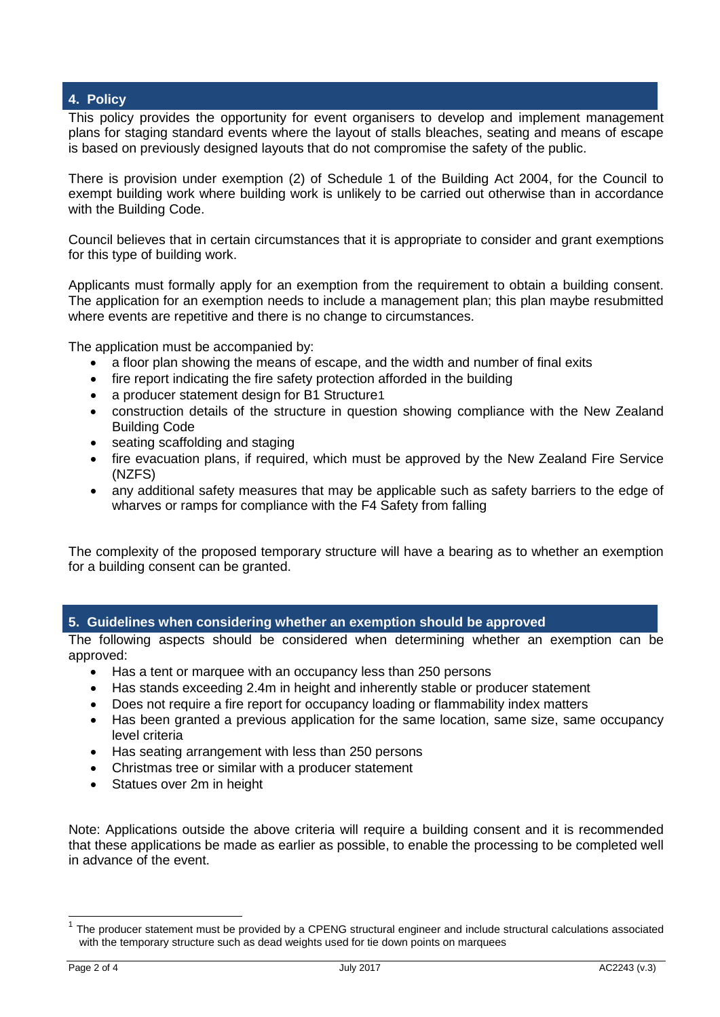# **4. Policy**

This policy provides the opportunity for event organisers to develop and implement management plans for staging standard events where the layout of stalls bleaches, seating and means of escape is based on previously designed layouts that do not compromise the safety of the public.

There is provision under exemption (2) of Schedule 1 of the Building Act 2004, for the Council to exempt building work where building work is unlikely to be carried out otherwise than in accordance with the Building Code.

Council believes that in certain circumstances that it is appropriate to consider and grant exemptions for this type of building work.

Applicants must formally apply for an exemption from the requirement to obtain a building consent. The application for an exemption needs to include a management plan; this plan maybe resubmitted where events are repetitive and there is no change to circumstances.

The application must be accompanied by:

- a floor plan showing the means of escape, and the width and number of final exits
- fire report indicating the fire safety protection afforded in the building
- a producer statement design for B[1](#page-1-0) Structure1
- construction details of the structure in question showing compliance with the New Zealand Building Code
- seating scaffolding and staging
- fire evacuation plans, if required, which must be approved by the New Zealand Fire Service (NZFS)
- any additional safety measures that may be applicable such as safety barriers to the edge of wharves or ramps for compliance with the F4 Safety from falling

The complexity of the proposed temporary structure will have a bearing as to whether an exemption for a building consent can be granted.

#### **5. Guidelines when considering whether an exemption should be approved**

The following aspects should be considered when determining whether an exemption can be approved:

- Has a tent or marquee with an occupancy less than 250 persons
- Has stands exceeding 2.4m in height and inherently stable or producer statement
- Does not require a fire report for occupancy loading or flammability index matters
- Has been granted a previous application for the same location, same size, same occupancy level criteria
- Has seating arrangement with less than 250 persons
- Christmas tree or similar with a producer statement
- Statues over 2m in height

Note: Applications outside the above criteria will require a building consent and it is recommended that these applications be made as earlier as possible, to enable the processing to be completed well in advance of the event.

<span id="page-1-0"></span> $1$  The producer statement must be provided by a CPENG structural engineer and include structural calculations associated with the temporary structure such as dead weights used for tie down points on marquees Ę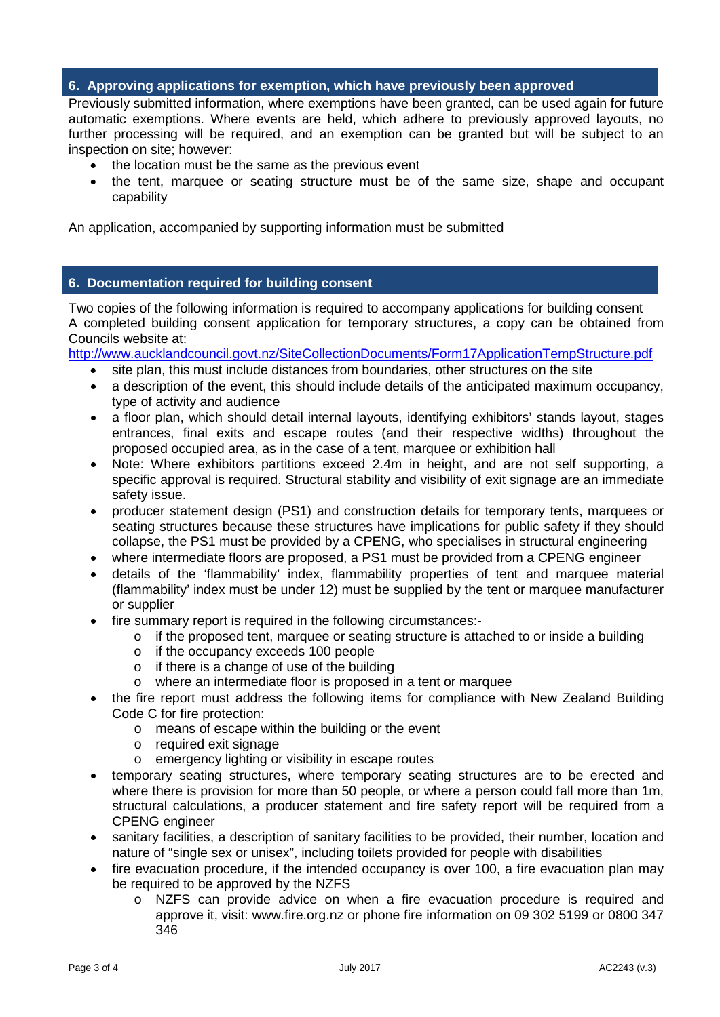# **6. Approving applications for exemption, which have previously been approved**

Previously submitted information, where exemptions have been granted, can be used again for future automatic exemptions. Where events are held, which adhere to previously approved layouts, no further processing will be required, and an exemption can be granted but will be subject to an inspection on site; however:

- the location must be the same as the previous event
- the tent, marquee or seating structure must be of the same size, shape and occupant capability

An application, accompanied by supporting information must be submitted

## **6. Documentation required for building consent**

Two copies of the following information is required to accompany applications for building consent A completed building consent application for temporary structures, a copy can be obtained from Councils website at:

<http://www.aucklandcouncil.govt.nz/SiteCollectionDocuments/Form17ApplicationTempStructure.pdf>

- site plan, this must include distances from boundaries, other structures on the site
- a description of the event, this should include details of the anticipated maximum occupancy, type of activity and audience
- a floor plan, which should detail internal layouts, identifying exhibitors' stands layout, stages entrances, final exits and escape routes (and their respective widths) throughout the proposed occupied area, as in the case of a tent, marquee or exhibition hall
- Note: Where exhibitors partitions exceed 2.4m in height, and are not self supporting, a specific approval is required. Structural stability and visibility of exit signage are an immediate safety issue.
- producer statement design (PS1) and construction details for temporary tents, marquees or seating structures because these structures have implications for public safety if they should collapse, the PS1 must be provided by a CPENG, who specialises in structural engineering
- where intermediate floors are proposed, a PS1 must be provided from a CPENG engineer
- details of the 'flammability' index, flammability properties of tent and marquee material (flammability' index must be under 12) must be supplied by the tent or marquee manufacturer or supplier
- fire summary report is required in the following circumstances:
	- o if the proposed tent, marquee or seating structure is attached to or inside a building
	- o if the occupancy exceeds 100 people
	- o if there is a change of use of the building
	- o where an intermediate floor is proposed in a tent or marquee
- the fire report must address the following items for compliance with New Zealand Building Code C for fire protection:
	- o means of escape within the building or the event
	- o required exit signage
	- o emergency lighting or visibility in escape routes
- temporary seating structures, where temporary seating structures are to be erected and where there is provision for more than 50 people, or where a person could fall more than 1m, structural calculations, a producer statement and fire safety report will be required from a CPENG engineer
- sanitary facilities, a description of sanitary facilities to be provided, their number, location and nature of "single sex or unisex", including toilets provided for people with disabilities
- fire evacuation procedure, if the intended occupancy is over 100, a fire evacuation plan may be required to be approved by the NZFS
	- o NZFS can provide advice on when a fire evacuation procedure is required and approve it, visit: www.fire.org.nz or phone fire information on 09 302 5199 or 0800 347 346